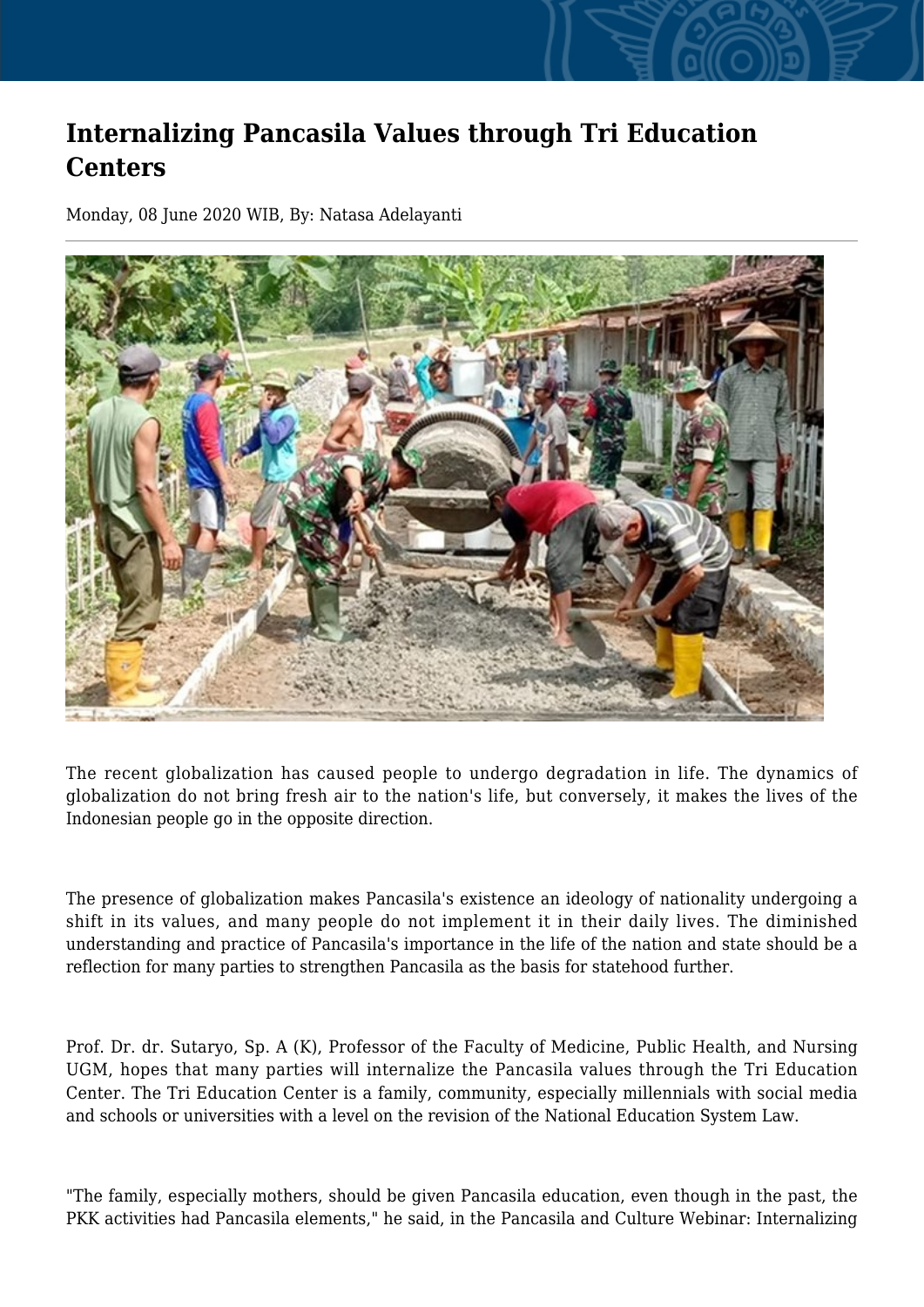## **Internalizing Pancasila Values through Tri Education Centers**

Monday, 08 June 2020 WIB, By: Natasa Adelayanti



The recent globalization has caused people to undergo degradation in life. The dynamics of globalization do not bring fresh air to the nation's life, but conversely, it makes the lives of the Indonesian people go in the opposite direction.

The presence of globalization makes Pancasila's existence an ideology of nationality undergoing a shift in its values, and many people do not implement it in their daily lives. The diminished understanding and practice of Pancasila's importance in the life of the nation and state should be a reflection for many parties to strengthen Pancasila as the basis for statehood further.

Prof. Dr. dr. Sutaryo, Sp. A (K), Professor of the Faculty of Medicine, Public Health, and Nursing UGM, hopes that many parties will internalize the Pancasila values through the Tri Education Center. The Tri Education Center is a family, community, especially millennials with social media and schools or universities with a level on the revision of the National Education System Law.

"The family, especially mothers, should be given Pancasila education, even though in the past, the PKK activities had Pancasila elements," he said, in the Pancasila and Culture Webinar: Internalizing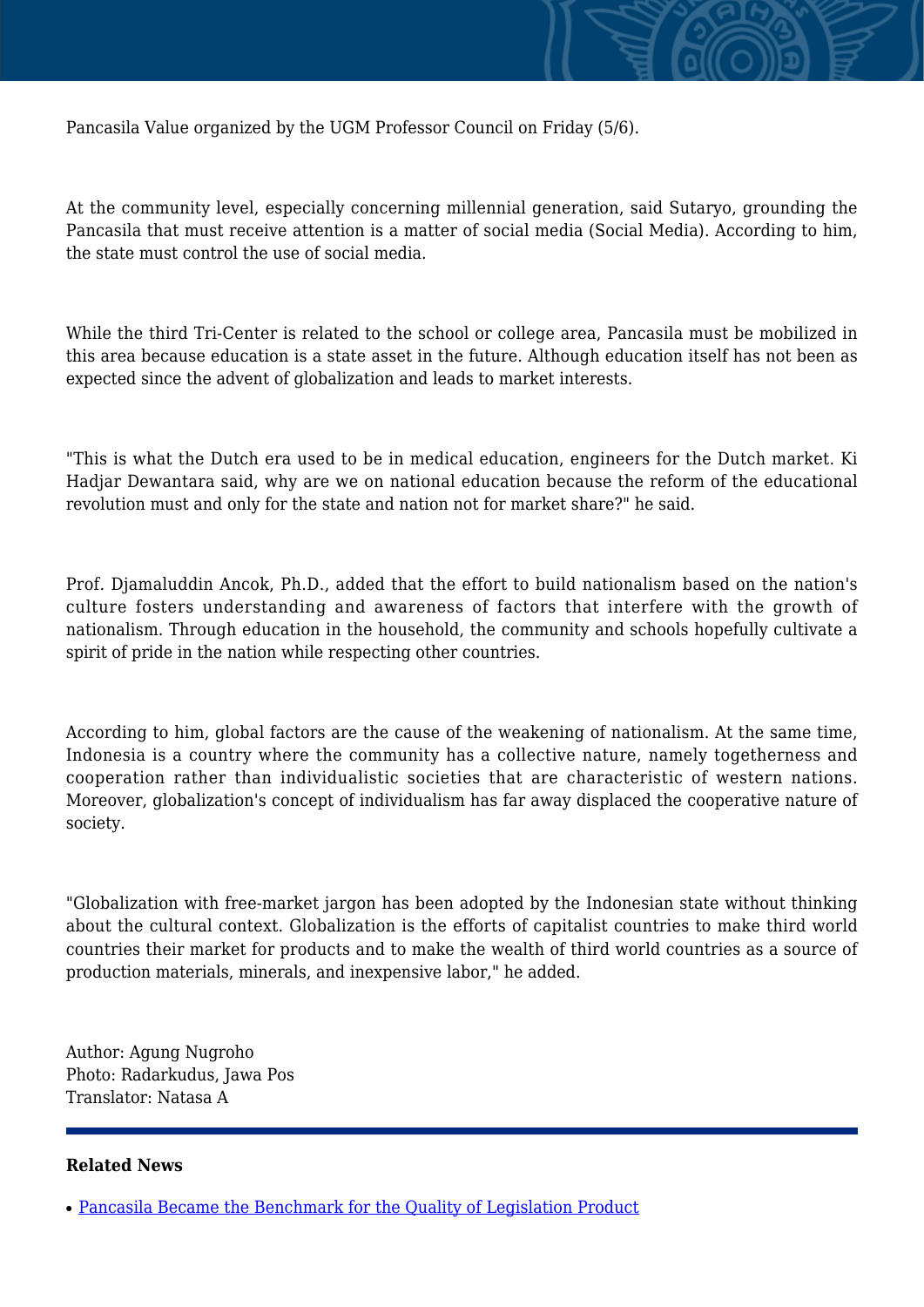

Pancasila Value organized by the UGM Professor Council on Friday (5/6).

At the community level, especially concerning millennial generation, said Sutaryo, grounding the Pancasila that must receive attention is a matter of social media (Social Media). According to him, the state must control the use of social media.

While the third Tri-Center is related to the school or college area, Pancasila must be mobilized in this area because education is a state asset in the future. Although education itself has not been as expected since the advent of globalization and leads to market interests.

"This is what the Dutch era used to be in medical education, engineers for the Dutch market. Ki Hadjar Dewantara said, why are we on national education because the reform of the educational revolution must and only for the state and nation not for market share?" he said.

Prof. Djamaluddin Ancok, Ph.D., added that the effort to build nationalism based on the nation's culture fosters understanding and awareness of factors that interfere with the growth of nationalism. Through education in the household, the community and schools hopefully cultivate a spirit of pride in the nation while respecting other countries.

According to him, global factors are the cause of the weakening of nationalism. At the same time, Indonesia is a country where the community has a collective nature, namely togetherness and cooperation rather than individualistic societies that are characteristic of western nations. Moreover, globalization's concept of individualism has far away displaced the cooperative nature of society.

"Globalization with free-market jargon has been adopted by the Indonesian state without thinking about the cultural context. Globalization is the efforts of capitalist countries to make third world countries their market for products and to make the wealth of third world countries as a source of production materials, minerals, and inexpensive labor," he added.

Author: Agung Nugroho Photo: Radarkudus, Jawa Pos Translator: Natasa A

## **Related News**

<sup>•</sup> [Pancasila Became the Benchmark for the Quality of Legislation Product](http://ugm.ac.id/www.ugm.ac.id//en/news/19528-internalizing-pancasila-values-through-tri-education-centers)